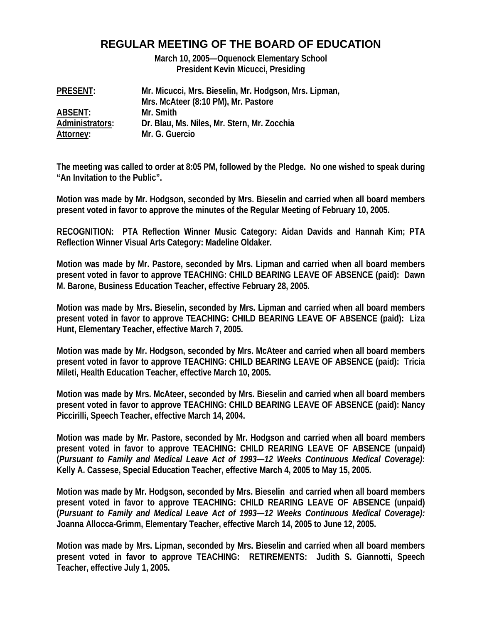# **REGULAR MEETING OF THE BOARD OF EDUCATION**

**March 10, 2005—Oquenock Elementary School President Kevin Micucci, Presiding** 

| <b>PRESENT:</b> | Mr. Micucci, Mrs. Bieselin, Mr. Hodgson, Mrs. Lipman, |
|-----------------|-------------------------------------------------------|
|                 | Mrs. McAteer (8:10 PM), Mr. Pastore                   |
| ABSENT:         | Mr. Smith                                             |
| Administrators: | Dr. Blau, Ms. Niles, Mr. Stern, Mr. Zocchia           |
| Attorney:       | Mr. G. Guercio                                        |

**The meeting was called to order at 8:05 PM, followed by the Pledge. No one wished to speak during "An Invitation to the Public".** 

**Motion was made by Mr. Hodgson, seconded by Mrs. Bieselin and carried when all board members present voted in favor to approve the minutes of the Regular Meeting of February 10, 2005.** 

**RECOGNITION: PTA Reflection Winner Music Category: Aidan Davids and Hannah Kim; PTA Reflection Winner Visual Arts Category: Madeline Oldaker.** 

**Motion was made by Mr. Pastore, seconded by Mrs. Lipman and carried when all board members present voted in favor to approve TEACHING: CHILD BEARING LEAVE OF ABSENCE (paid): Dawn M. Barone, Business Education Teacher, effective February 28, 2005.** 

**Motion was made by Mrs. Bieselin, seconded by Mrs. Lipman and carried when all board members present voted in favor to approve TEACHING: CHILD BEARING LEAVE OF ABSENCE (paid): Liza Hunt, Elementary Teacher, effective March 7, 2005.** 

**Motion was made by Mr. Hodgson, seconded by Mrs. McAteer and carried when all board members present voted in favor to approve TEACHING: CHILD BEARING LEAVE OF ABSENCE (paid): Tricia Mileti, Health Education Teacher, effective March 10, 2005.** 

**Motion was made by Mrs. McAteer, seconded by Mrs. Bieselin and carried when all board members present voted in favor to approve TEACHING: CHILD BEARING LEAVE OF ABSENCE (paid): Nancy Piccirilli, Speech Teacher, effective March 14, 2004.** 

**Motion was made by Mr. Pastore, seconded by Mr. Hodgson and carried when all board members present voted in favor to approve TEACHING: CHILD REARING LEAVE OF ABSENCE (unpaid) (***Pursuant to Family and Medical Leave Act of 1993—12 Weeks Continuous Medical Coverage)***: Kelly A. Cassese, Special Education Teacher, effective March 4, 2005 to May 15, 2005.** 

**Motion was made by Mr. Hodgson, seconded by Mrs. Bieselin and carried when all board members present voted in favor to approve TEACHING: CHILD REARING LEAVE OF ABSENCE (unpaid) (***Pursuant to Family and Medical Leave Act of 1993—12 Weeks Continuous Medical Coverage):*  **Joanna Allocca-Grimm, Elementary Teacher, effective March 14, 2005 to June 12, 2005.** 

**Motion was made by Mrs. Lipman, seconded by Mrs. Bieselin and carried when all board members present voted in favor to approve TEACHING: RETIREMENTS: Judith S. Giannotti, Speech Teacher, effective July 1, 2005.**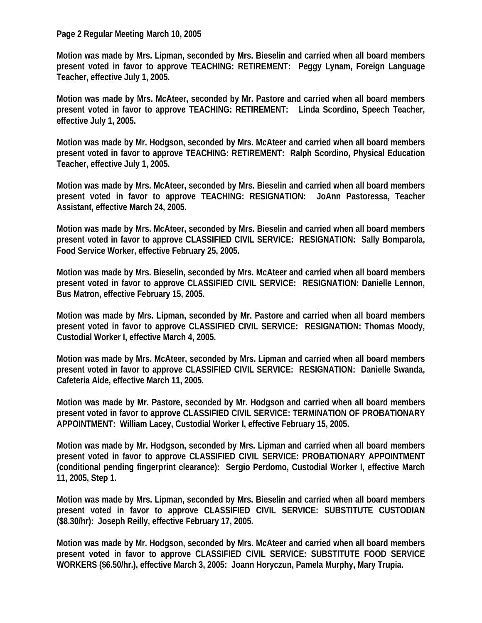#### **Page 2 Regular Meeting March 10, 2005**

**Motion was made by Mrs. Lipman, seconded by Mrs. Bieselin and carried when all board members present voted in favor to approve TEACHING: RETIREMENT: Peggy Lynam, Foreign Language Teacher, effective July 1, 2005.** 

**Motion was made by Mrs. McAteer, seconded by Mr. Pastore and carried when all board members present voted in favor to approve TEACHING: RETIREMENT: Linda Scordino, Speech Teacher, effective July 1, 2005.** 

**Motion was made by Mr. Hodgson, seconded by Mrs. McAteer and carried when all board members present voted in favor to approve TEACHING: RETIREMENT: Ralph Scordino, Physical Education Teacher, effective July 1, 2005.** 

**Motion was made by Mrs. McAteer, seconded by Mrs. Bieselin and carried when all board members present voted in favor to approve TEACHING: RESIGNATION: JoAnn Pastoressa, Teacher Assistant, effective March 24, 2005.** 

**Motion was made by Mrs. McAteer, seconded by Mrs. Bieselin and carried when all board members present voted in favor to approve CLASSIFIED CIVIL SERVICE: RESIGNATION: Sally Bomparola, Food Service Worker, effective February 25, 2005.** 

**Motion was made by Mrs. Bieselin, seconded by Mrs. McAteer and carried when all board members present voted in favor to approve CLASSIFIED CIVIL SERVICE: RESIGNATION: Danielle Lennon, Bus Matron, effective February 15, 2005.** 

**Motion was made by Mrs. Lipman, seconded by Mr. Pastore and carried when all board members present voted in favor to approve CLASSIFIED CIVIL SERVICE: RESIGNATION: Thomas Moody, Custodial Worker I, effective March 4, 2005.** 

**Motion was made by Mrs. McAteer, seconded by Mrs. Lipman and carried when all board members present voted in favor to approve CLASSIFIED CIVIL SERVICE: RESIGNATION: Danielle Swanda, Cafeteria Aide, effective March 11, 2005.** 

**Motion was made by Mr. Pastore, seconded by Mr. Hodgson and carried when all board members present voted in favor to approve CLASSIFIED CIVIL SERVICE: TERMINATION OF PROBATIONARY APPOINTMENT: William Lacey, Custodial Worker I, effective February 15, 2005.** 

**Motion was made by Mr. Hodgson, seconded by Mrs. Lipman and carried when all board members present voted in favor to approve CLASSIFIED CIVIL SERVICE: PROBATIONARY APPOINTMENT (conditional pending fingerprint clearance): Sergio Perdomo, Custodial Worker I, effective March 11, 2005, Step 1.** 

**Motion was made by Mrs. Lipman, seconded by Mrs. Bieselin and carried when all board members present voted in favor to approve CLASSIFIED CIVIL SERVICE: SUBSTITUTE CUSTODIAN (\$8.30/hr): Joseph Reilly, effective February 17, 2005.** 

**Motion was made by Mr. Hodgson, seconded by Mrs. McAteer and carried when all board members present voted in favor to approve CLASSIFIED CIVIL SERVICE: SUBSTITUTE FOOD SERVICE WORKERS (\$6.50/hr.), effective March 3, 2005: Joann Horyczun, Pamela Murphy, Mary Trupia.**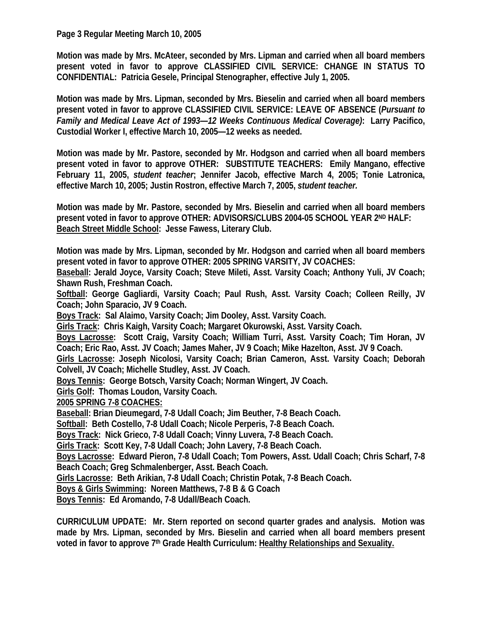**Page 3 Regular Meeting March 10, 2005** 

**Motion was made by Mrs. McAteer, seconded by Mrs. Lipman and carried when all board members present voted in favor to approve CLASSIFIED CIVIL SERVICE: CHANGE IN STATUS TO CONFIDENTIAL: Patricia Gesele, Principal Stenographer, effective July 1, 2005.** 

**Motion was made by Mrs. Lipman, seconded by Mrs. Bieselin and carried when all board members present voted in favor to approve CLASSIFIED CIVIL SERVICE: LEAVE OF ABSENCE (***Pursuant to Family and Medical Leave Act of 1993—12 Weeks Continuous Medical Coverage)***: Larry Pacifico, Custodial Worker I, effective March 10, 2005—12 weeks as needed.** 

**Motion was made by Mr. Pastore, seconded by Mr. Hodgson and carried when all board members present voted in favor to approve OTHER: SUBSTITUTE TEACHERS: Emily Mangano, effective February 11, 2005,** *student teacher***; Jennifer Jacob, effective March 4, 2005; Tonie Latronica, effective March 10, 2005; Justin Rostron, effective March 7, 2005,** *student teacher.*

**Motion was made by Mr. Pastore, seconded by Mrs. Bieselin and carried when all board members present voted in favor to approve OTHER: ADVISORS/CLUBS 2004-05 SCHOOL YEAR 2ND HALF: Beach Street Middle School: Jesse Fawess, Literary Club.** 

**Motion was made by Mrs. Lipman, seconded by Mr. Hodgson and carried when all board members present voted in favor to approve OTHER: 2005 SPRING VARSITY, JV COACHES:** 

**Baseball: Jerald Joyce, Varsity Coach; Steve Mileti, Asst. Varsity Coach; Anthony Yuli, JV Coach; Shawn Rush, Freshman Coach.** 

Softball: George Gagliardi, Varsity Coach; Paul Rush, Asst. Varsity Coach; Colleen Reilly, JV **Coach; John Sparacio, JV 9 Coach.** 

**Boys Track: Sal Alaimo, Varsity Coach; Jim Dooley, Asst. Varsity Coach.** 

**Girls Track: Chris Kaigh, Varsity Coach; Margaret Okurowski, Asst. Varsity Coach.** 

**Boys Lacrosse: Scott Craig, Varsity Coach; William Turri, Asst. Varsity Coach; Tim Horan, JV Coach; Eric Rao, Asst. JV Coach; James Maher, JV 9 Coach; Mike Hazelton, Asst. JV 9 Coach.** 

**Girls Lacrosse: Joseph Nicolosi, Varsity Coach; Brian Cameron, Asst. Varsity Coach; Deborah Colvell, JV Coach; Michelle Studley, Asst. JV Coach.** 

**Boys Tennis: George Botsch, Varsity Coach; Norman Wingert, JV Coach.** 

**Girls Golf: Thomas Loudon, Varsity Coach.** 

**2005 SPRING 7-8 COACHES:**

**Baseball: Brian Dieumegard, 7-8 Udall Coach; Jim Beuther, 7-8 Beach Coach.** 

**Softball: Beth Costello, 7-8 Udall Coach; Nicole Perperis, 7-8 Beach Coach.** 

**Boys Track: Nick Grieco, 7-8 Udall Coach; Vinny Luvera, 7-8 Beach Coach.** 

**Girls Track: Scott Key, 7-8 Udall Coach; John Lavery, 7-8 Beach Coach.** 

**Boys Lacrosse: Edward Pieron, 7-8 Udall Coach; Tom Powers, Asst. Udall Coach; Chris Scharf, 7-8 Beach Coach; Greg Schmalenberger, Asst. Beach Coach.** 

**Girls Lacrosse: Beth Arikian, 7-8 Udall Coach; Christin Potak, 7-8 Beach Coach.** 

**Boys & Girls Swimming: Noreen Matthews, 7-8 B & G Coach** 

**Boys Tennis: Ed Aromando, 7-8 Udall/Beach Coach.** 

**CURRICULUM UPDATE: Mr. Stern reported on second quarter grades and analysis. Motion was made by Mrs. Lipman, seconded by Mrs. Bieselin and carried when all board members present voted in favor to approve 7th Grade Health Curriculum: Healthy Relationships and Sexuality.**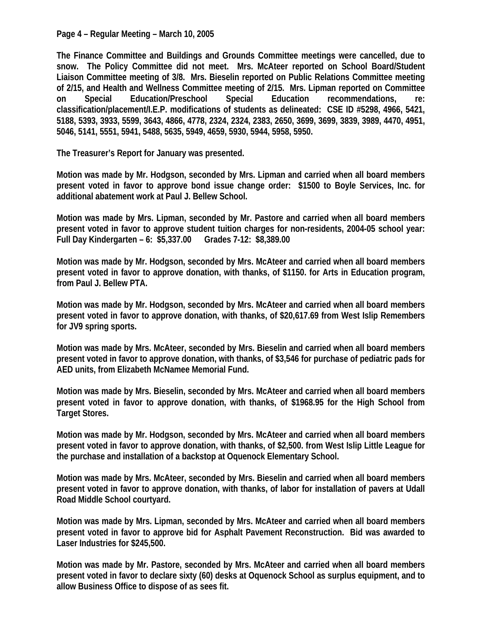**Page 4 – Regular Meeting – March 10, 2005** 

**The Finance Committee and Buildings and Grounds Committee meetings were cancelled, due to snow. The Policy Committee did not meet. Mrs. McAteer reported on School Board/Student Liaison Committee meeting of 3/8. Mrs. Bieselin reported on Public Relations Committee meeting of 2/15, and Health and Wellness Committee meeting of 2/15. Mrs. Lipman reported on Committee on Special Education/Preschool Special Education recommendations, re: classification/placement/I.E.P. modifications of students as delineated: CSE ID #5298, 4966, 5421, 5188, 5393, 3933, 5599, 3643, 4866, 4778, 2324, 2324, 2383, 2650, 3699, 3699, 3839, 3989, 4470, 4951, 5046, 5141, 5551, 5941, 5488, 5635, 5949, 4659, 5930, 5944, 5958, 5950.** 

**The Treasurer's Report for January was presented.** 

**Motion was made by Mr. Hodgson, seconded by Mrs. Lipman and carried when all board members present voted in favor to approve bond issue change order: \$1500 to Boyle Services, Inc. for additional abatement work at Paul J. Bellew School.** 

**Motion was made by Mrs. Lipman, seconded by Mr. Pastore and carried when all board members present voted in favor to approve student tuition charges for non-residents, 2004-05 school year: Full Day Kindergarten – 6: \$5,337.00 Grades 7-12: \$8,389.00** 

**Motion was made by Mr. Hodgson, seconded by Mrs. McAteer and carried when all board members present voted in favor to approve donation, with thanks, of \$1150. for Arts in Education program, from Paul J. Bellew PTA.** 

**Motion was made by Mr. Hodgson, seconded by Mrs. McAteer and carried when all board members present voted in favor to approve donation, with thanks, of \$20,617.69 from West Islip Remembers for JV9 spring sports.** 

**Motion was made by Mrs. McAteer, seconded by Mrs. Bieselin and carried when all board members present voted in favor to approve donation, with thanks, of \$3,546 for purchase of pediatric pads for AED units, from Elizabeth McNamee Memorial Fund.** 

**Motion was made by Mrs. Bieselin, seconded by Mrs. McAteer and carried when all board members present voted in favor to approve donation, with thanks, of \$1968.95 for the High School from Target Stores.** 

**Motion was made by Mr. Hodgson, seconded by Mrs. McAteer and carried when all board members present voted in favor to approve donation, with thanks, of \$2,500. from West Islip Little League for the purchase and installation of a backstop at Oquenock Elementary School.** 

**Motion was made by Mrs. McAteer, seconded by Mrs. Bieselin and carried when all board members present voted in favor to approve donation, with thanks, of labor for installation of pavers at Udall Road Middle School courtyard.** 

**Motion was made by Mrs. Lipman, seconded by Mrs. McAteer and carried when all board members present voted in favor to approve bid for Asphalt Pavement Reconstruction. Bid was awarded to Laser Industries for \$245,500.** 

**Motion was made by Mr. Pastore, seconded by Mrs. McAteer and carried when all board members present voted in favor to declare sixty (60) desks at Oquenock School as surplus equipment, and to allow Business Office to dispose of as sees fit.**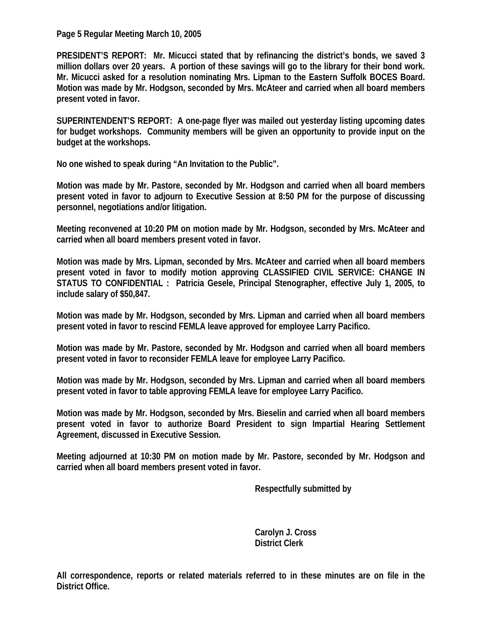**Page 5 Regular Meeting March 10, 2005** 

**PRESIDENT'S REPORT: Mr. Micucci stated that by refinancing the district's bonds, we saved 3 million dollars over 20 years. A portion of these savings will go to the library for their bond work. Mr. Micucci asked for a resolution nominating Mrs. Lipman to the Eastern Suffolk BOCES Board. Motion was made by Mr. Hodgson, seconded by Mrs. McAteer and carried when all board members present voted in favor.** 

**SUPERINTENDENT'S REPORT: A one-page flyer was mailed out yesterday listing upcoming dates for budget workshops. Community members will be given an opportunity to provide input on the budget at the workshops.** 

**No one wished to speak during "An Invitation to the Public".** 

**Motion was made by Mr. Pastore, seconded by Mr. Hodgson and carried when all board members present voted in favor to adjourn to Executive Session at 8:50 PM for the purpose of discussing personnel, negotiations and/or litigation.** 

**Meeting reconvened at 10:20 PM on motion made by Mr. Hodgson, seconded by Mrs. McAteer and carried when all board members present voted in favor.** 

**Motion was made by Mrs. Lipman, seconded by Mrs. McAteer and carried when all board members present voted in favor to modify motion approving CLASSIFIED CIVIL SERVICE: CHANGE IN STATUS TO CONFIDENTIAL : Patricia Gesele, Principal Stenographer, effective July 1, 2005, to include salary of \$50,847.** 

**Motion was made by Mr. Hodgson, seconded by Mrs. Lipman and carried when all board members present voted in favor to rescind FEMLA leave approved for employee Larry Pacifico.** 

**Motion was made by Mr. Pastore, seconded by Mr. Hodgson and carried when all board members present voted in favor to reconsider FEMLA leave for employee Larry Pacifico.** 

**Motion was made by Mr. Hodgson, seconded by Mrs. Lipman and carried when all board members present voted in favor to table approving FEMLA leave for employee Larry Pacifico.** 

**Motion was made by Mr. Hodgson, seconded by Mrs. Bieselin and carried when all board members present voted in favor to authorize Board President to sign Impartial Hearing Settlement Agreement, discussed in Executive Session.** 

**Meeting adjourned at 10:30 PM on motion made by Mr. Pastore, seconded by Mr. Hodgson and carried when all board members present voted in favor.** 

 **Respectfully submitted by** 

 **Carolyn J. Cross District Clerk** 

**All correspondence, reports or related materials referred to in these minutes are on file in the District Office.**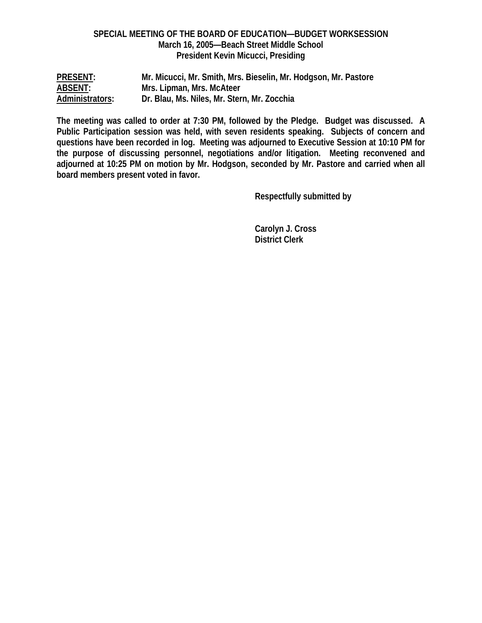## **SPECIAL MEETING OF THE BOARD OF EDUCATION—BUDGET WORKSESSION March 16, 2005—Beach Street Middle School President Kevin Micucci, Presiding**

| <b>PRESENT:</b> | Mr. Micucci, Mr. Smith, Mrs. Bieselin, Mr. Hodgson, Mr. Pastore |
|-----------------|-----------------------------------------------------------------|
| <b>ABSENT:</b>  | Mrs. Lipman, Mrs. McAteer                                       |
| Administrators: | Dr. Blau, Ms. Niles, Mr. Stern, Mr. Zocchia                     |

**The meeting was called to order at 7:30 PM, followed by the Pledge. Budget was discussed. A Public Participation session was held, with seven residents speaking. Subjects of concern and questions have been recorded in log. Meeting was adjourned to Executive Session at 10:10 PM for the purpose of discussing personnel, negotiations and/or litigation. Meeting reconvened and adjourned at 10:25 PM on motion by Mr. Hodgson, seconded by Mr. Pastore and carried when all board members present voted in favor.** 

 **Respectfully submitted by** 

 **Carolyn J. Cross District Clerk**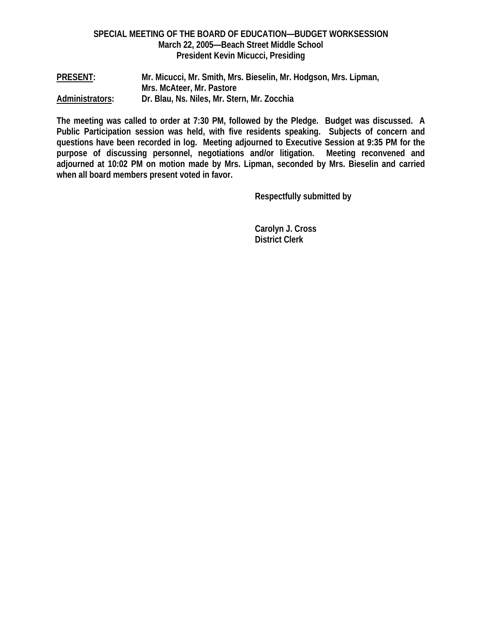## **SPECIAL MEETING OF THE BOARD OF EDUCATION—BUDGET WORKSESSION March 22, 2005—Beach Street Middle School President Kevin Micucci, Presiding**

**PRESENT: Mr. Micucci, Mr. Smith, Mrs. Bieselin, Mr. Hodgson, Mrs. Lipman, Mrs. McAteer, Mr. Pastore Administrators: Dr. Blau, Ns. Niles, Mr. Stern, Mr. Zocchia** 

**The meeting was called to order at 7:30 PM, followed by the Pledge. Budget was discussed. A Public Participation session was held, with five residents speaking. Subjects of concern and questions have been recorded in log. Meeting adjourned to Executive Session at 9:35 PM for the purpose of discussing personnel, negotiations and/or litigation. Meeting reconvened and adjourned at 10:02 PM on motion made by Mrs. Lipman, seconded by Mrs. Bieselin and carried when all board members present voted in favor.** 

 **Respectfully submitted by** 

 **Carolyn J. Cross District Clerk**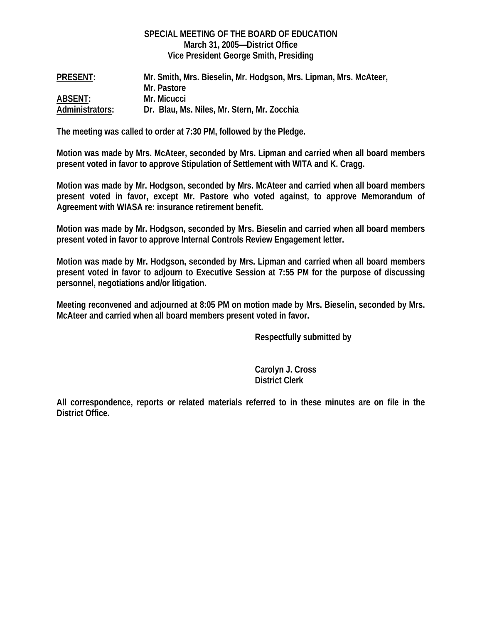#### **SPECIAL MEETING OF THE BOARD OF EDUCATION March 31, 2005—District Office Vice President George Smith, Presiding**

| <b>PRESENT:</b> | Mr. Smith, Mrs. Bieselin, Mr. Hodgson, Mrs. Lipman, Mrs. McAteer, |
|-----------------|-------------------------------------------------------------------|
|                 | Mr. Pastore                                                       |
| <b>ABSENT:</b>  | Mr. Micucci                                                       |
| Administrators: | Dr. Blau, Ms. Niles, Mr. Stern, Mr. Zocchia                       |

**The meeting was called to order at 7:30 PM, followed by the Pledge.** 

**Motion was made by Mrs. McAteer, seconded by Mrs. Lipman and carried when all board members present voted in favor to approve Stipulation of Settlement with WITA and K. Cragg.** 

**Motion was made by Mr. Hodgson, seconded by Mrs. McAteer and carried when all board members present voted in favor, except Mr. Pastore who voted against, to approve Memorandum of Agreement with WIASA re: insurance retirement benefit.** 

**Motion was made by Mr. Hodgson, seconded by Mrs. Bieselin and carried when all board members present voted in favor to approve Internal Controls Review Engagement letter.** 

**Motion was made by Mr. Hodgson, seconded by Mrs. Lipman and carried when all board members present voted in favor to adjourn to Executive Session at 7:55 PM for the purpose of discussing personnel, negotiations and/or litigation.** 

**Meeting reconvened and adjourned at 8:05 PM on motion made by Mrs. Bieselin, seconded by Mrs. McAteer and carried when all board members present voted in favor.** 

 **Respectfully submitted by** 

 **Carolyn J. Cross District Clerk** 

**All correspondence, reports or related materials referred to in these minutes are on file in the District Office.**